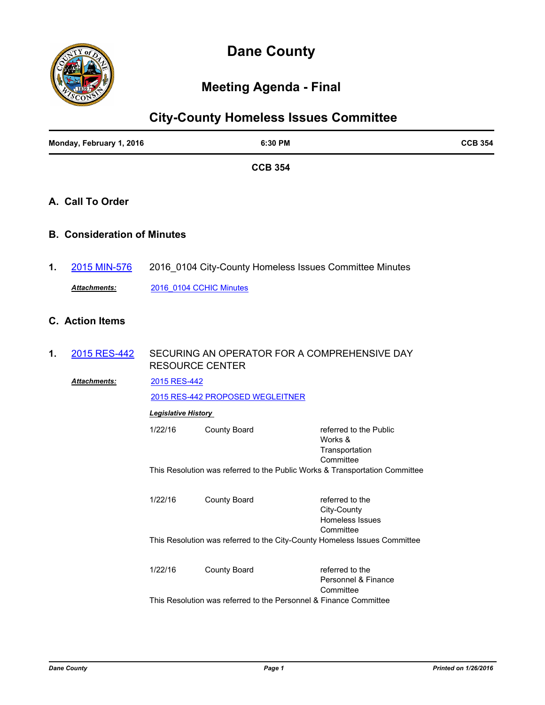

# **Dane County**

# **Meeting Agenda - Final**

| <b>City-County Homeless Issues Committee</b> |                                    |                                                                                        |                                                                   |                                                                  |  |
|----------------------------------------------|------------------------------------|----------------------------------------------------------------------------------------|-------------------------------------------------------------------|------------------------------------------------------------------|--|
| Monday, February 1, 2016                     |                                    | 6:30 PM                                                                                |                                                                   | <b>CCB 354</b>                                                   |  |
|                                              |                                    |                                                                                        | <b>CCB 354</b>                                                    |                                                                  |  |
|                                              | A. Call To Order                   |                                                                                        |                                                                   |                                                                  |  |
|                                              | <b>B. Consideration of Minutes</b> |                                                                                        |                                                                   |                                                                  |  |
| 1.                                           | 2015 MIN-576                       | 2016_0104 City-County Homeless Issues Committee Minutes                                |                                                                   |                                                                  |  |
|                                              | Attachments:                       | 2016 0104 CCHIC Minutes                                                                |                                                                   |                                                                  |  |
|                                              | <b>C.</b> Action Items             |                                                                                        |                                                                   |                                                                  |  |
| 1.                                           | 2015 RES-442                       | SECURING AN OPERATOR FOR A COMPREHENSIVE DAY<br><b>RESOURCE CENTER</b>                 |                                                                   |                                                                  |  |
|                                              | Attachments:                       | 2015 RES-442                                                                           |                                                                   |                                                                  |  |
|                                              |                                    | 2015 RES-442 PROPOSED WEGLEITNER                                                       |                                                                   |                                                                  |  |
|                                              |                                    | <b>Legislative History</b>                                                             |                                                                   |                                                                  |  |
|                                              |                                    | 1/22/16                                                                                | <b>County Board</b>                                               | referred to the Public<br>Works &<br>Transportation<br>Committee |  |
|                                              |                                    | This Resolution was referred to the Public Works & Transportation Committee            |                                                                   |                                                                  |  |
|                                              |                                    | 1/22/16                                                                                | <b>County Board</b>                                               | referred to the<br>City-County<br>Homeless Issues                |  |
|                                              |                                    | Committee<br>This Resolution was referred to the City-County Homeless Issues Committee |                                                                   |                                                                  |  |
|                                              |                                    | 1/22/16                                                                                | <b>County Board</b>                                               | referred to the<br>Personnel & Finance<br>Committee              |  |
|                                              |                                    |                                                                                        | This Resolution was referred to the Personnel & Finance Committee |                                                                  |  |